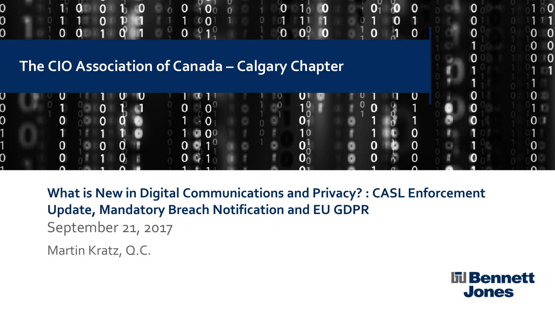

**What is New in Digital Communications and Privacy? : CASL Enforcement Update, Mandatory Breach Notification and EU GDPR** September 21, 2017

Martin Kratz, Q.C.

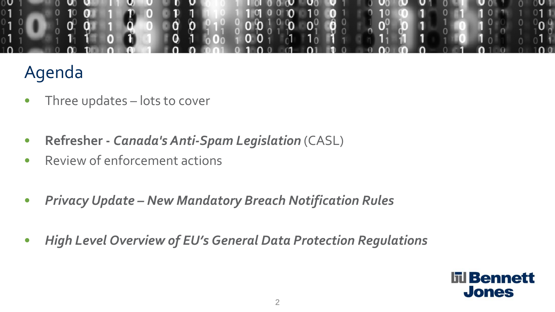

# Agenda

- Three updates lots to cover
- **Refresher -** *Canada's Anti-Spam Legislation* (CASL)
- Review of enforcement actions
- *Privacy Update – New Mandatory Breach Notification Rules*
- *High Level Overview of EU's General Data Protection Regulations*

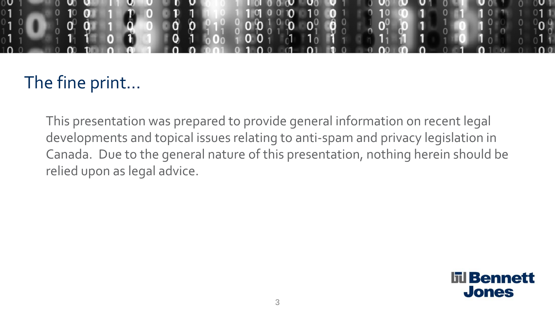

# The fine print…

This presentation was prepared to provide general information on recent legal developments and topical issues relating to anti-spam and privacy legislation in Canada. Due to the general nature of this presentation, nothing herein should be relied upon as legal advice.

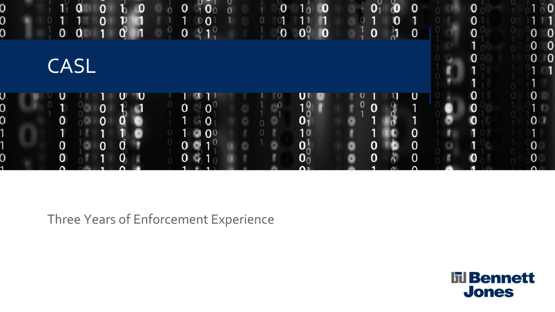

Three Years of Enforcement Experience

**III** Bennett **Jones**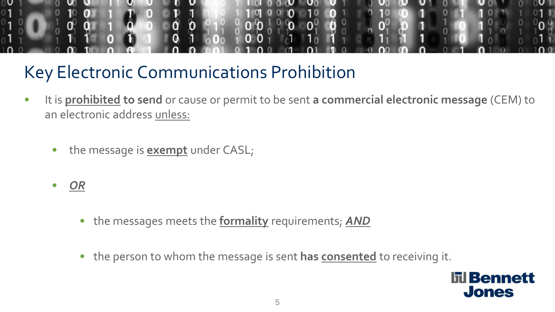

# Key Electronic Communications Prohibition

- It is **prohibited to send** or cause or permit to be sent **a commercial electronic message** (CEM) to an electronic address unless:
	- the message is **exempt** under CASL;
	- *OR*
		- the messages meets the **formality** requirements; *AND*
		- the person to whom the message is sent **has consented** to receiving it.

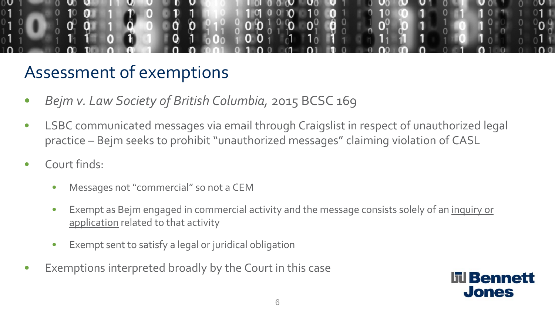

### Assessment of exemptions

- *Bejm v. Law Society of British Columbia,* 2015 BCSC 169
- LSBC communicated messages via email through Craigslist in respect of unauthorized legal practice – Bejm seeks to prohibit "unauthorized messages" claiming violation of CASL
- Court finds:
	- Messages not "commercial" so not a CEM
	- Exempt as Bejm engaged in commercial activity and the message consists solely of an inquiry or application related to that activity
	- Exempt sent to satisfy a legal or juridical obligation
- Exemptions interpreted broadly by the Court in this case

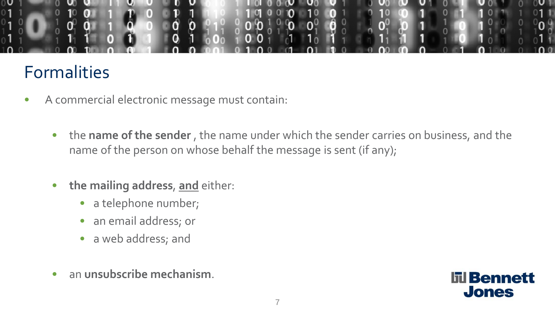

#### Formalities

- A commercial electronic message must contain:
	- the **name of the sender** , the name under which the sender carries on business, and the name of the person on whose behalf the message is sent (if any);
	- **the mailing address**, **and** either:
		- a telephone number;
		- an email address; or
		- a web address; and
	- an **unsubscribe mechanism**.

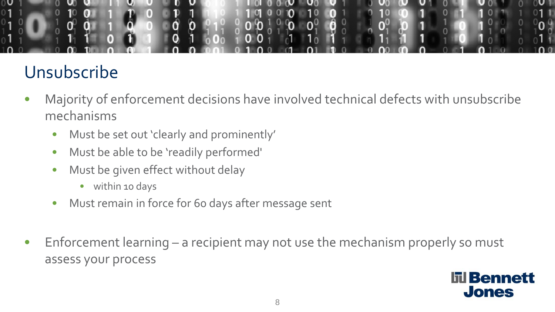

# Unsubscribe

- Majority of enforcement decisions have involved technical defects with unsubscribe mechanisms
	- Must be set out 'clearly and prominently'
	- Must be able to be 'readily performed'
	- Must be given effect without delay
		- within 10 days
	- Must remain in force for 60 days after message sent
- Enforcement learning a recipient may not use the mechanism properly so must assess your process

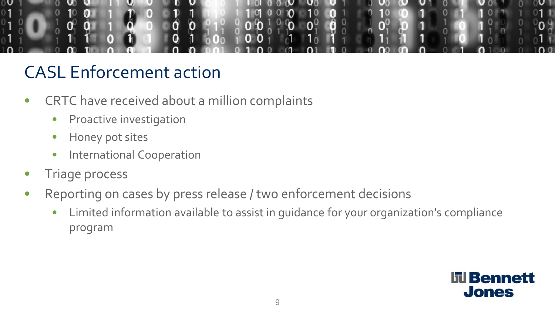

- CRTC have received about a million complaints
	- Proactive investigation
	- Honey pot sites
	- International Cooperation
- Triage process
- Reporting on cases by press release / two enforcement decisions
	- Limited information available to assist in guidance for your organization's compliance program

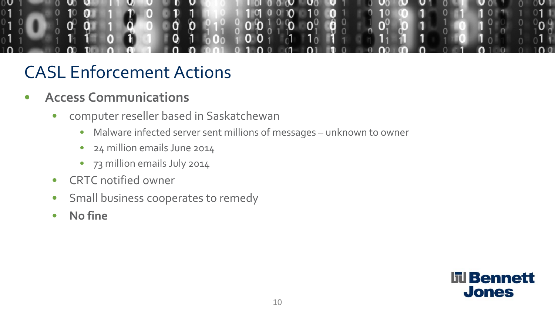

- **Access Communications**
	- computer reseller based in Saskatchewan
		- Malware infected server sent millions of messages unknown to owner
		- 24 million emails June 2014
		- 73 million emails July 2014
	- CRTC notified owner
	- Small business cooperates to remedy
	- **No fine**

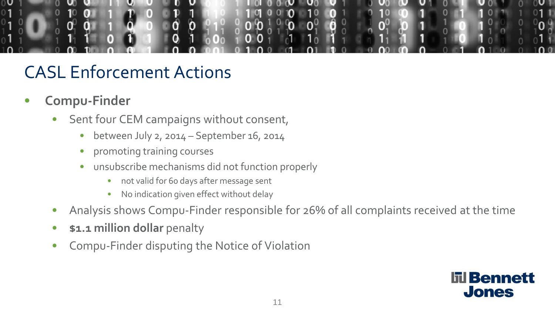

- **Compu-Finder**
	- Sent four CEM campaigns without consent,
		- between July 2, 2014 September 16, 2014
		- promoting training courses
		- unsubscribe mechanisms did not function properly
			- not valid for 60 days after message sent
			- No indication given effect without delay
	- Analysis shows Compu-Finder responsible for 26% of all complaints received at the time
	- **\$1.1 million dollar** penalty
	- Compu-Finder disputing the Notice of Violation

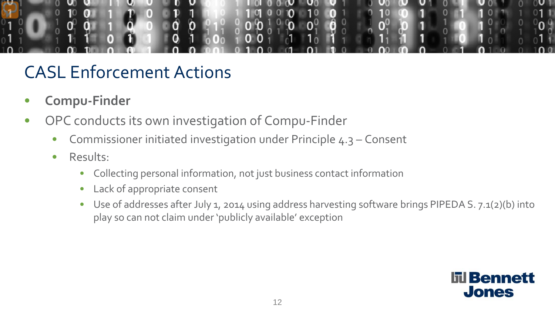

- **Compu-Finder**
- OPC conducts its own investigation of Compu-Finder
	- Commissioner initiated investigation under Principle 4.3 Consent
	- Results:
		- Collecting personal information, not just business contact information
		- Lack of appropriate consent
		- Use of addresses after July 1, 2014 using address harvesting software brings PIPEDA S. 7.1(2)(b) into play so can not claim under 'publicly available' exception

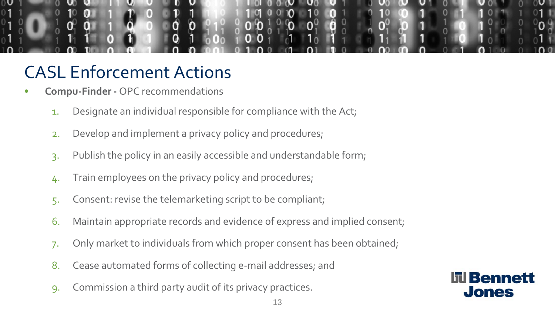

- **Compu-Finder -** OPC recommendations
	- 1. Designate an individual responsible for compliance with the Act;
	- 2. Develop and implement a privacy policy and procedures;
	- 3. Publish the policy in an easily accessible and understandable form;
	- 4. Train employees on the privacy policy and procedures;
	- 5. Consent: revise the telemarketing script to be compliant;
	- 6. Maintain appropriate records and evidence of express and implied consent;
	- 7. Only market to individuals from which proper consent has been obtained;
	- 8. Cease automated forms of collecting e-mail addresses; and
	- 9. Commission a third party audit of its privacy practices.

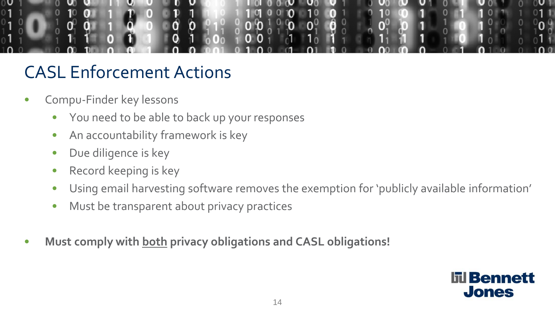

- Compu-Finder key lessons
	- You need to be able to back up your responses
	- An accountability framework is key
	- Due diligence is key
	- Record keeping is key
	- Using email harvesting software removes the exemption for 'publicly available information'
	- Must be transparent about privacy practices
- **Must comply with both privacy obligations and CASL obligations!**

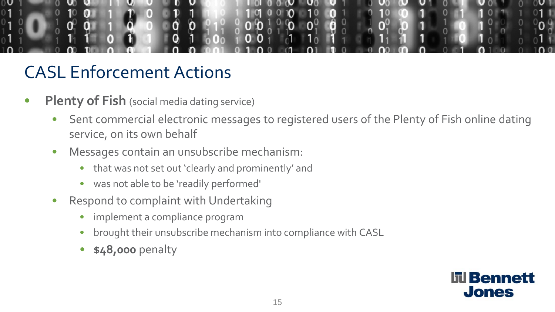

- **Plenty of Fish** (social media dating service)
	- Sent commercial electronic messages to registered users of the Plenty of Fish online dating service, on its own behalf
	- Messages contain an unsubscribe mechanism:
		- that was not set out 'clearly and prominently' and
		- was not able to be 'readily performed'
	- Respond to complaint with Undertaking
		- implement a compliance program
		- brought their unsubscribe mechanism into compliance with CASL
		- **\$48,000** penalty

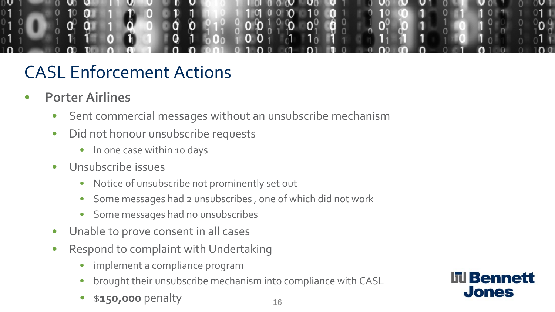

- **Porter Airlines** 
	- Sent commercial messages without an unsubscribe mechanism
	- Did not honour unsubscribe requests
		- In one case within 10 days
	- Unsubscribe issues
		- Notice of unsubscribe not prominently set out
		- Some messages had 2 unsubscribes , one of which did not work
		- Some messages had no unsubscribes
	- Unable to prove consent in all cases
	- Respond to complaint with Undertaking
		- implement a compliance program
		- brought their unsubscribe mechanism into compliance with CASL
		- **\$150,000 penalty** 16

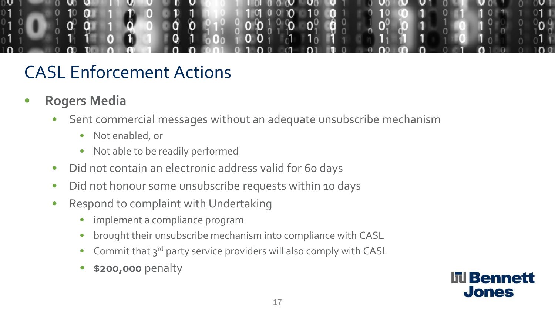

- **Rogers Media**
	- Sent commercial messages without an adequate unsubscribe mechanism
		- Not enabled, or
		- Not able to be readily performed
	- Did not contain an electronic address valid for 60 days
	- Did not honour some unsubscribe requests within 10 days
	- Respond to complaint with Undertaking
		- implement a compliance program
		- brought their unsubscribe mechanism into compliance with CASL
		- Commit that 3<sup>rd</sup> party service providers will also comply with CASL
		- **\$200,000** penalty

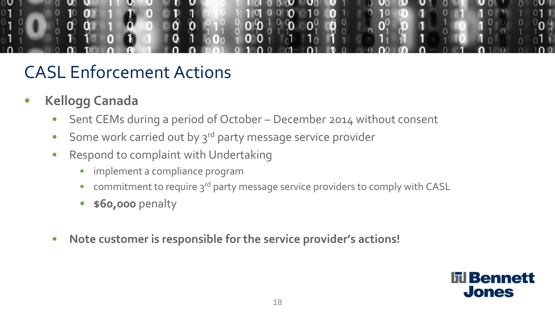

- **Kellogg Canada**
	- Sent CEMs during a period of October December 2014 without consent
	- Some work carried out by  $3^{rd}$  party message service provider
	- Respond to complaint with Undertaking
		- implement a compliance program
		- commitment to require 3<sup>rd</sup> party message service providers to comply with CASL
		- **\$60,000** penalty
	- **Note customer is responsible for the service provider's actions!**

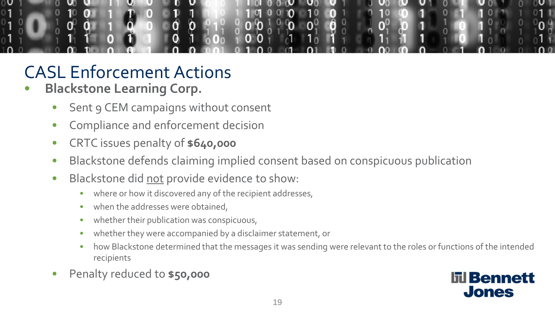

- **Blackstone Learning Corp.**
	- Sent 9 CEM campaigns without consent
	- Compliance and enforcement decision
	- CRTC issues penalty of **\$640,000**
	- Blackstone defends claiming implied consent based on conspicuous publication
	- Blackstone did not provide evidence to show:
		- where or how it discovered any of the recipient addresses,
		- when the addresses were obtained,
		- whether their publication was conspicuous,
		- whether they were accompanied by a disclaimer statement, or
		- how Blackstone determined that the messages it was sending were relevant to the roles or functions of the intended recipients
	- Penalty reduced to **\$50,000**

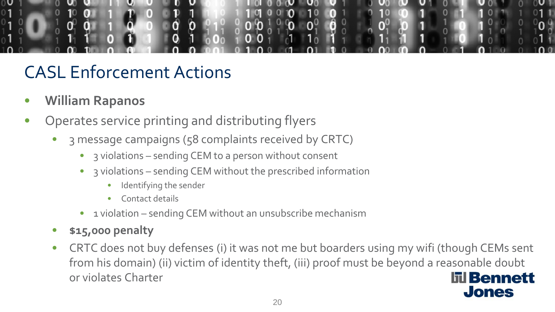

- **William Rapanos**
- Operates service printing and distributing flyers
	- 3 message campaigns (58 complaints received by CRTC)
		- 3 violations sending CEM to a person without consent
		- 3 violations sending CEM without the prescribed information
			- Identifying the sender
			- Contact details
		- 1 violation sending CEM without an unsubscribe mechanism
	- **\$15,000 penalty**
	- CRTC does not buy defenses (i) it was not me but boarders using my wifi (though CEMs sent from his domain) (ii) victim of identity theft, (iii) proof must be beyond a reasonable doubt or violates Charter **līl Bennett**

**Jones**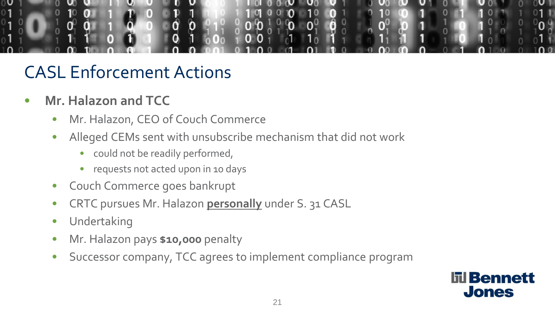

- **Mr. Halazon and TCC**
	- Mr. Halazon, CEO of Couch Commerce
	- Alleged CEMs sent with unsubscribe mechanism that did not work
		- could not be readily performed,
		- requests not acted upon in 10 days
	- Couch Commerce goes bankrupt
	- CRTC pursues Mr. Halazon **personally** under S. 31 CASL
	- Undertaking
	- Mr. Halazon pays **\$10,000** penalty
	- Successor company, TCC agrees to implement compliance program

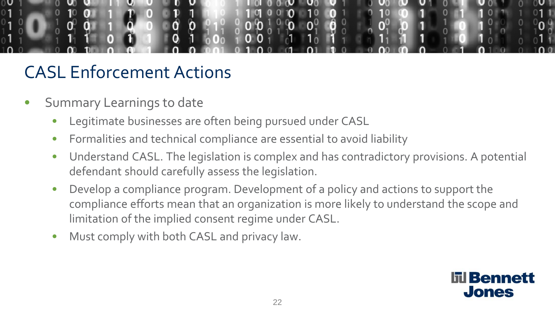

- Summary Learnings to date
	- Legitimate businesses are often being pursued under CASL
	- Formalities and technical compliance are essential to avoid liability
	- Understand CASL. The legislation is complex and has contradictory provisions. A potential defendant should carefully assess the legislation.
	- Develop a compliance program. Development of a policy and actions to support the compliance efforts mean that an organization is more likely to understand the scope and limitation of the implied consent regime under CASL.
	- Must comply with both CASL and privacy law.

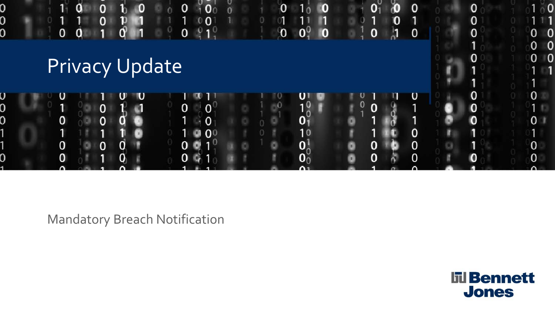

Mandatory Breach Notification

**III** Bennett **Jones**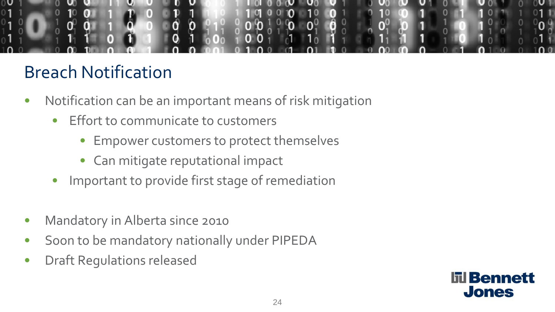

## Breach Notification

- Notification can be an important means of risk mitigation
	- Effort to communicate to customers
		- Empower customers to protect themselves
		- Can mitigate reputational impact
	- Important to provide first stage of remediation
- Mandatory in Alberta since 2010
- Soon to be mandatory nationally under PIPEDA
- Draft Regulations released

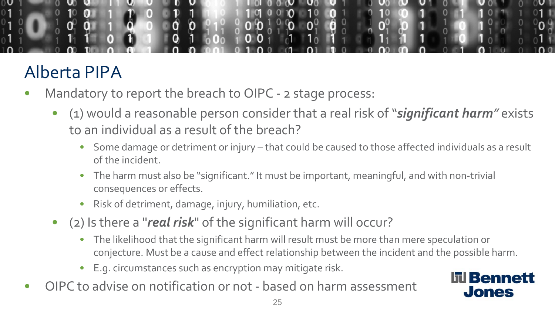

# Alberta PIPA

- Mandatory to report the breach to OIPC 2 stage process:
	- (1) would a reasonable person consider that a real risk of "*significant harm"* exists to an individual as a result of the breach?
		- Some damage or detriment or injury that could be caused to those affected individuals as a result of the incident.
		- The harm must also be "significant." It must be important, meaningful, and with non-trivial consequences or effects.
		- Risk of detriment, damage, injury, humiliation, etc.
	- (2) Is there a "*real risk*" of the significant harm will occur?
		- The likelihood that the significant harm will result must be more than mere speculation or conjecture. Must be a cause and effect relationship between the incident and the possible harm.
		- E.g. circumstances such as encryption may mitigate risk.
- OIPC to advise on notification or not based on harm assessment

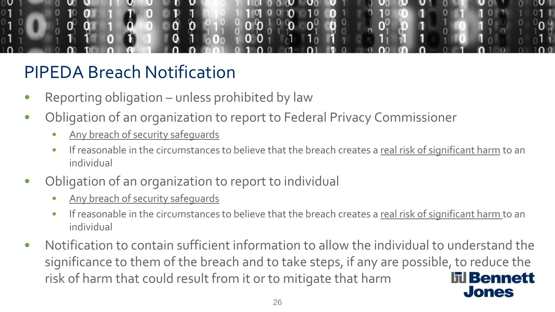

- Reporting obligation unless prohibited by law
- Obligation of an organization to report to Federal Privacy Commissioner
	- Any breach of security safequards
	- If reasonable in the circumstances to believe that the breach creates a real risk of significant harm to an individual
- Obligation of an organization to report to individual
	- Any breach of security safequards
	- If reasonable in the circumstances to believe that the breach creates a real risk of significant harm to an individual
- Notification to contain sufficient information to allow the individual to understand the significance to them of the breach and to take steps, if any are possible, to reduce the risk of harm that could result from it or to mitigate that harm **līl Bennett Jones**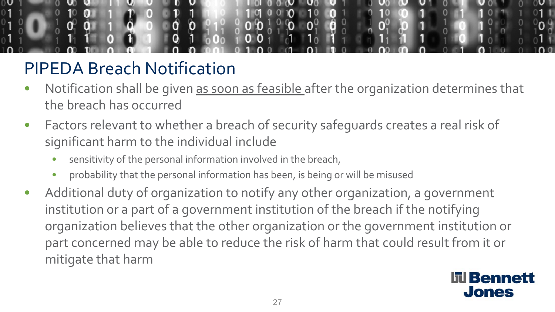

- Notification shall be given as soon as feasible after the organization determines that the breach has occurred
- Factors relevant to whether a breach of security safeguards creates a real risk of significant harm to the individual include
	- sensitivity of the personal information involved in the breach,
	- probability that the personal information has been, is being or will be misused
- Additional duty of organization to notify any other organization, a government institution or a part of a government institution of the breach if the notifying organization believes that the other organization or the government institution or part concerned may be able to reduce the risk of harm that could result from it or mitigate that harm

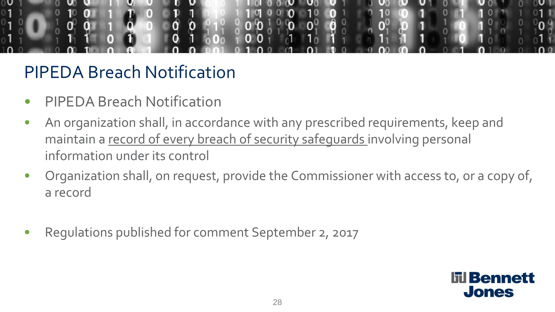

- PIPEDA Breach Notification
- An organization shall, in accordance with any prescribed requirements, keep and maintain a record of every breach of security safeguards involving personal information under its control
- Organization shall, on request, provide the Commissioner with access to, or a copy of, a record
- Regulations published for comment September 2, 2017

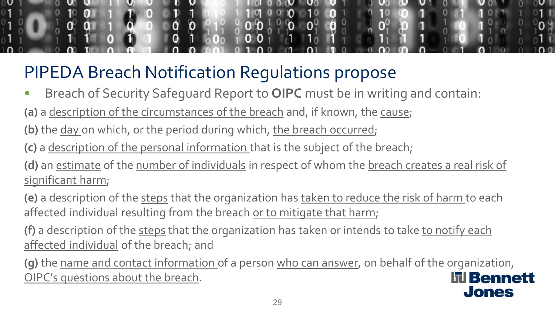• Breach of Security Safeguard Report to **OIPC** must be in writing and contain:

**(a)** a description of the circumstances of the breach and, if known, the cause;

**(b)** the day on which, or the period during which, the breach occurred;

**(c)** a description of the personal information that is the subject of the breach;

**(d)** an estimate of the number of individuals in respect of whom the breach creates a real risk of significant harm;

**(e)** a description of the steps that the organization has taken to reduce the risk of harm to each affected individual resulting from the breach or to mitigate that harm;

**(f)** a description of the steps that the organization has taken or intends to take to notify each affected individual of the breach; and

**(g)** the name and contact information of a person who can answer, on behalf of the organization, OIPC's questions about the breach. **līl Bennett** 

**Jones**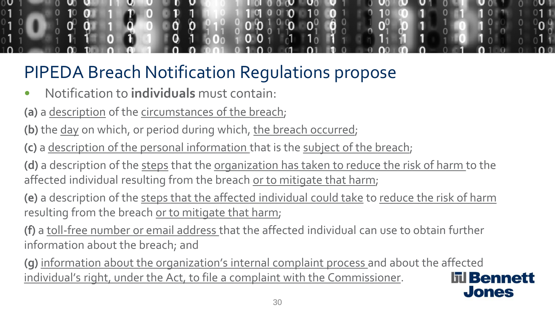

- Notification to **individuals** must contain:
- **(a)** a description of the circumstances of the breach;
- **(b)** the day on which, or period during which, the breach occurred;
- **(c)** a description of the personal information that is the subject of the breach;
- **(d)** a description of the steps that the organization has taken to reduce the risk of harm to the affected individual resulting from the breach or to mitigate that harm;
- **(e)** a description of the steps that the affected individual could take to reduce the risk of harm resulting from the breach or to mitigate that harm;
- **(f)** a toll-free number or email address that the affected individual can use to obtain further information about the breach; and
- **(g)** information about the organization's internal complaint process and about the affected individual's right, under the Act, to file a complaint with the Commissioner.

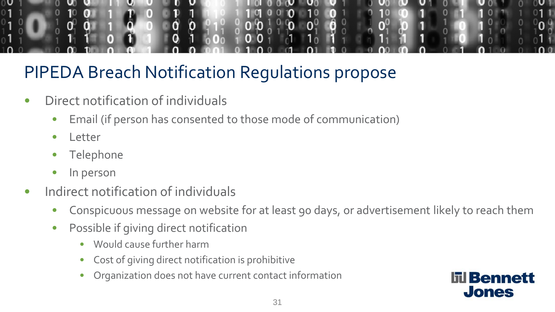

- Direct notification of individuals
	- Email (if person has consented to those mode of communication)
	- Letter
	- **Telephone**
	- In person
- Indirect notification of individuals
	- Conspicuous message on website for at least 90 days, or advertisement likely to reach them
	- Possible if giving direct notification
		- Would cause further harm
		- Cost of giving direct notification is prohibitive
		- Organization does not have current contact information

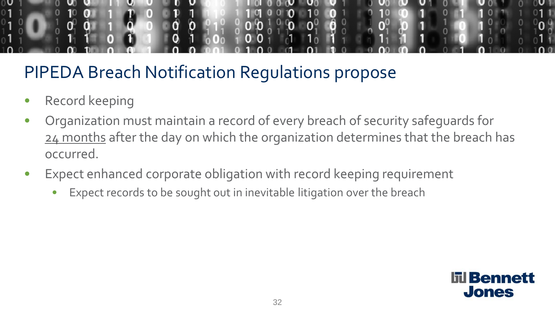

- Record keeping
- Organization must maintain a record of every breach of security safeguards for 24 months after the day on which the organization determines that the breach has occurred.
- Expect enhanced corporate obligation with record keeping requirement
	- Expect records to be sought out in inevitable litigation over the breach

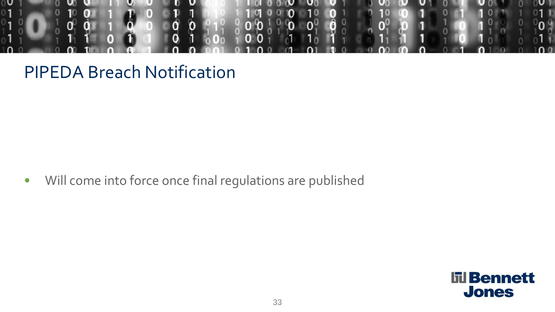

• Will come into force once final regulations are published

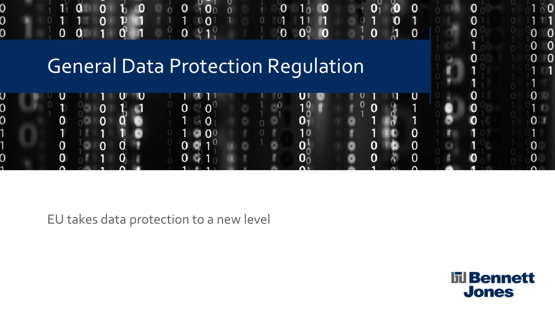# General Data Protection Regulation

 $\mathbf{O}$ 

 $\Omega$ 

O

 $\mathbf 0$ 

0



 $\mathbf{0}$   $\mathbf{0}^0$   $\mathbf{0}$ 

Ю

 $\bf{0}$ 

 $\frac{1}{2}$ 

 $\mathbf{0}$ 

 $\Omega$ 

 $\mathbf 0$ 

EU takes data protection to a new level

0

0<br>N

**III** Bennett **Jones** 

 $\Omega$ 

O

0

0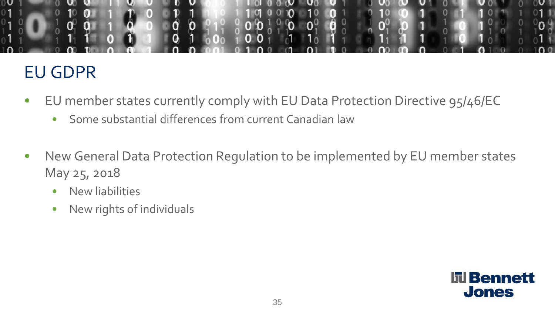

#### EU GDPR

- EU member states currently comply with EU Data Protection Directive 95/46/EC
	- Some substantial differences from current Canadian law
- New General Data Protection Regulation to be implemented by EU member states May 25, 2018
	- New liabilities
	- New rights of individuals

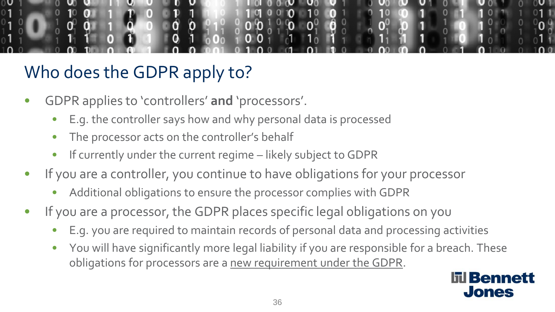# Who does the GDPR apply to?

- GDPR applies to 'controllers' **and** 'processors'.
	- E.g. the controller says how and why personal data is processed
	- The processor acts on the controller's behalf
	- If currently under the current regime likely subject to GDPR
- If you are a controller, you continue to have obligations for your processor
	- Additional obligations to ensure the processor complies with GDPR
- If you are a processor, the GDPR places specific legal obligations on you
	- E.g. you are required to maintain records of personal data and processing activities
	- You will have significantly more legal liability if you are responsible for a breach. These obligations for processors are a new requirement under the GDPR.

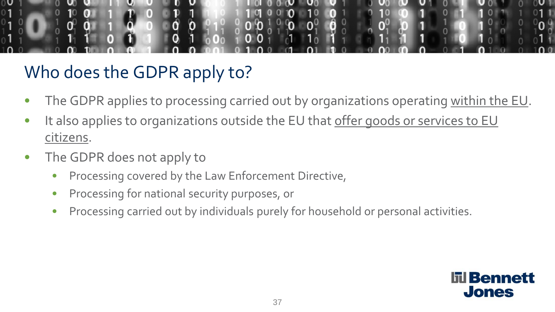

# Who does the GDPR apply to?

- The GDPR applies to processing carried out by organizations operating within the EU.
- It also applies to organizations outside the EU that offer goods or services to EU citizens.
- The GDPR does not apply to
	- Processing covered by the Law Enforcement Directive,
	- Processing for national security purposes, or
	- Processing carried out by individuals purely for household or personal activities.

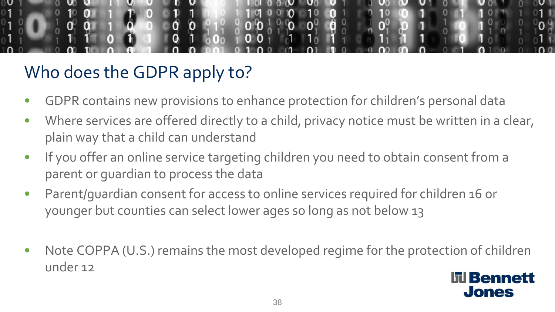

# Who does the GDPR apply to?

- GDPR contains new provisions to enhance protection for children's personal data
- Where services are offered directly to a child, privacy notice must be written in a clear, plain way that a child can understand
- If you offer an online service targeting children you need to obtain consent from a parent or guardian to process the data
- Parent/guardian consent for access to online services required for children 16 or younger but counties can select lower ages so long as not below 13
- Note COPPA (U.S.) remains the most developed regime for the protection of children under 12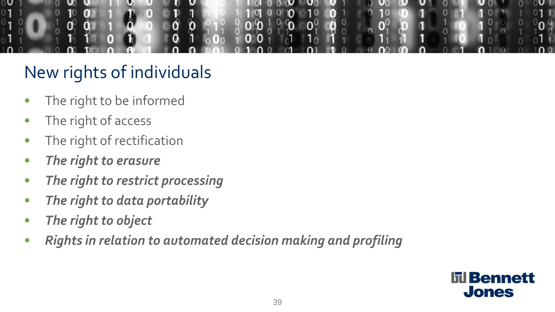

# New rights of individuals

- The right to be informed
- The right of access
- The right of rectification
- *The right to erasure*
- *The right to restrict processing*
- *The right to data portability*
- *The right to object*
- *Rights in relation to automated decision making and profiling*

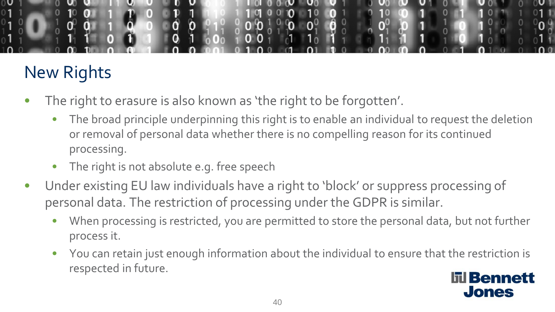

# New Rights

- The right to erasure is also known as 'the right to be forgotten'.
	- The broad principle underpinning this right is to enable an individual to request the deletion or removal of personal data whether there is no compelling reason for its continued processing.
	- The right is not absolute e.g. free speech
- Under existing EU law individuals have a right to 'block' or suppress processing of personal data. The restriction of processing under the GDPR is similar.
	- When processing is restricted, you are permitted to store the personal data, but not further process it.
	- You can retain just enough information about the individual to ensure that the restriction is respected in future.

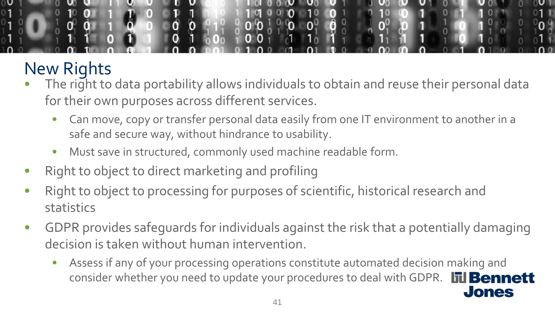

# New Rights

- The right to data portability allows individuals to obtain and reuse their personal data for their own purposes across different services.
	- Can move, copy or transfer personal data easily from one IT environment to another in a safe and secure way, without hindrance to usability.
	- Must save in structured, commonly used machine readable form.
- Right to object to direct marketing and profiling
- Right to object to processing for purposes of scientific, historical research and statistics
- GDPR provides safeguards for individuals against the risk that a potentially damaging decision is taken without human intervention.
	- Assess if any of your processing operations constitute automated decision making and consider whether you need to update your procedures to deal with GDPR. **līl Bennett**

**Jones**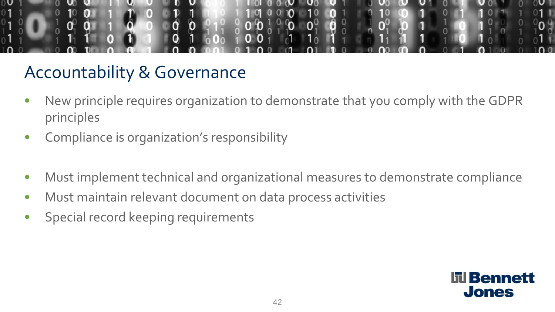

# Accountability & Governance

- New principle requires organization to demonstrate that you comply with the GDPR principles
- Compliance is organization's responsibility
- Must implement technical and organizational measures to demonstrate compliance
- Must maintain relevant document on data process activities
- Special record keeping requirements

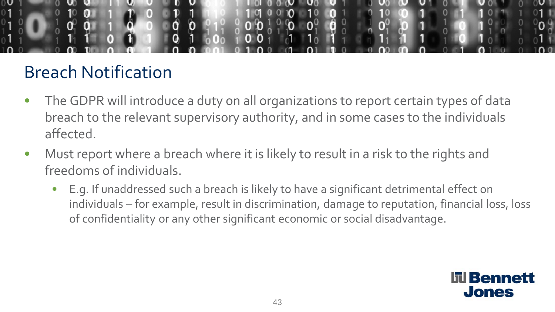

### Breach Notification

- The GDPR will introduce a duty on all organizations to report certain types of data breach to the relevant supervisory authority, and in some cases to the individuals affected.
- Must report where a breach where it is likely to result in a risk to the rights and freedoms of individuals.
	- E.g. If unaddressed such a breach is likely to have a significant detrimental effect on individuals – for example, result in discrimination, damage to reputation, financial loss, loss of confidentiality or any other significant economic or social disadvantage.

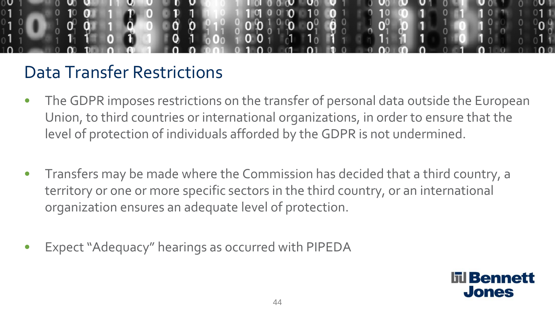

#### Data Transfer Restrictions

- The GDPR imposes restrictions on the transfer of personal data outside the European Union, to third countries or international organizations, in order to ensure that the level of protection of individuals afforded by the GDPR is not undermined.
- Transfers may be made where the Commission has decided that a third country, a territory or one or more specific sectors in the third country, or an international organization ensures an adequate level of protection.
- Expect "Adequacy" hearings as occurred with PIPEDA

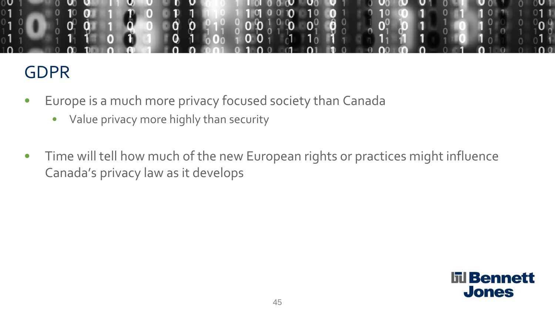

#### GDPR

- Europe is a much more privacy focused society than Canada
	- Value privacy more highly than security
- Time will tell how much of the new European rights or practices might influence Canada's privacy law as it develops